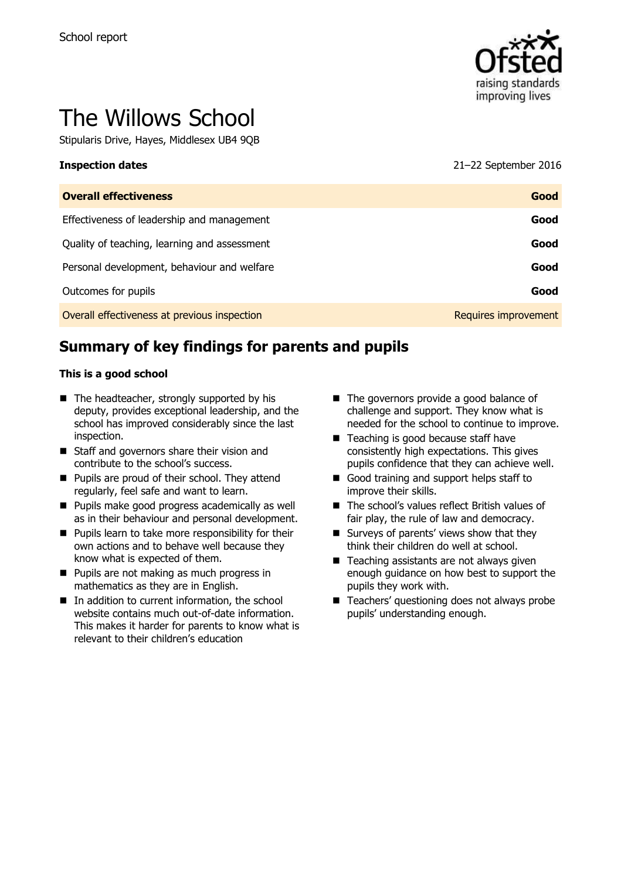

# The Willows School

Stipularis Drive, Hayes, Middlesex UB4 9QB

**Inspection dates** 21–22 September 2016

| <b>Overall effectiveness</b>                 | Good                        |
|----------------------------------------------|-----------------------------|
| Effectiveness of leadership and management   | Good                        |
| Quality of teaching, learning and assessment | Good                        |
| Personal development, behaviour and welfare  | Good                        |
| Outcomes for pupils                          | Good                        |
| Overall effectiveness at previous inspection | <b>Requires improvement</b> |

# **Summary of key findings for parents and pupils**

#### **This is a good school**

- $\blacksquare$  The headteacher, strongly supported by his deputy, provides exceptional leadership, and the school has improved considerably since the last inspection.
- Staff and governors share their vision and contribute to the school's success.
- **Pupils are proud of their school. They attend** regularly, feel safe and want to learn.
- **Pupils make good progress academically as well** as in their behaviour and personal development.
- $\blacksquare$  Pupils learn to take more responsibility for their own actions and to behave well because they know what is expected of them.
- **Pupils are not making as much progress in** mathematics as they are in English.
- $\blacksquare$  In addition to current information, the school website contains much out-of-date information. This makes it harder for parents to know what is relevant to their children's education
- The governors provide a good balance of challenge and support. They know what is needed for the school to continue to improve.
- Teaching is good because staff have consistently high expectations. This gives pupils confidence that they can achieve well.
- Good training and support helps staff to improve their skills.
- The school's values reflect British values of fair play, the rule of law and democracy.
- Surveys of parents' views show that they think their children do well at school.
- Teaching assistants are not always given enough guidance on how best to support the pupils they work with.
- Teachers' questioning does not always probe pupils' understanding enough.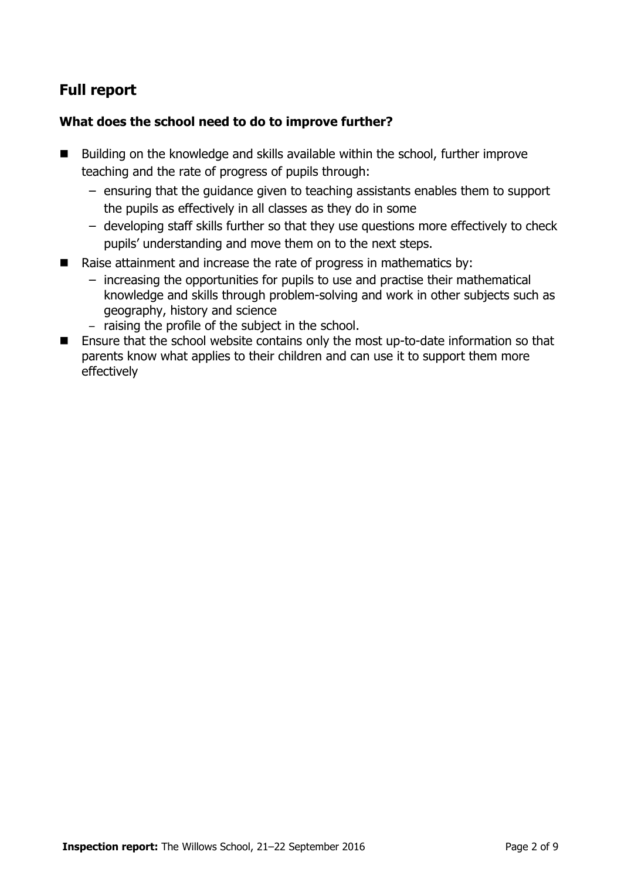# **Full report**

### **What does the school need to do to improve further?**

- Building on the knowledge and skills available within the school, further improve teaching and the rate of progress of pupils through:
	- ensuring that the guidance given to teaching assistants enables them to support the pupils as effectively in all classes as they do in some
	- developing staff skills further so that they use questions more effectively to check pupils' understanding and move them on to the next steps.
- Raise attainment and increase the rate of progress in mathematics by:
	- increasing the opportunities for pupils to use and practise their mathematical knowledge and skills through problem-solving and work in other subjects such as geography, history and science
	- raising the profile of the subject in the school.
- Ensure that the school website contains only the most up-to-date information so that parents know what applies to their children and can use it to support them more effectively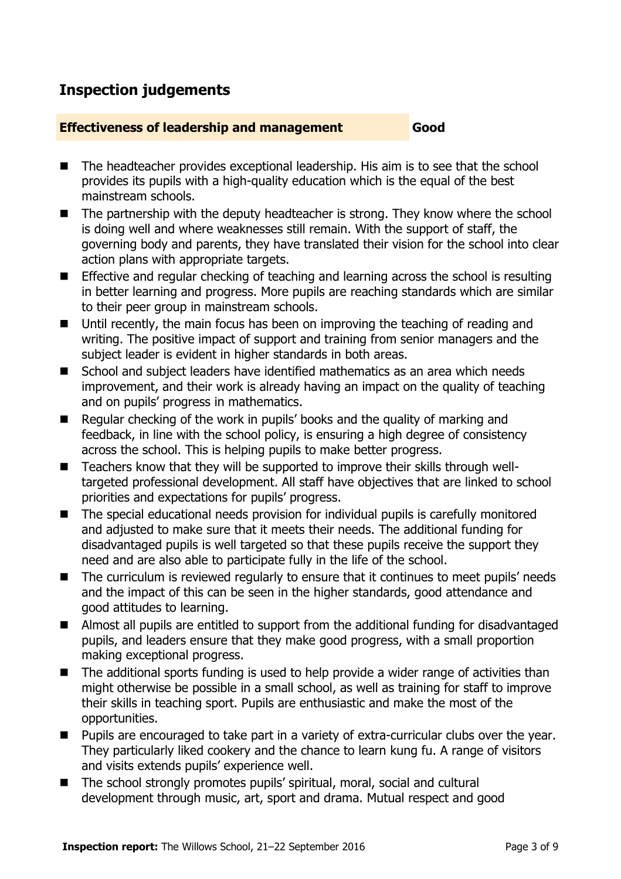# **Inspection judgements**

#### **Effectiveness of leadership and management Good**

- The headteacher provides exceptional leadership. His aim is to see that the school provides its pupils with a high-quality education which is the equal of the best mainstream schools.
- The partnership with the deputy headteacher is strong. They know where the school is doing well and where weaknesses still remain. With the support of staff, the governing body and parents, they have translated their vision for the school into clear action plans with appropriate targets.
- **Effective and regular checking of teaching and learning across the school is resulting** in better learning and progress. More pupils are reaching standards which are similar to their peer group in mainstream schools.
- Until recently, the main focus has been on improving the teaching of reading and writing. The positive impact of support and training from senior managers and the subject leader is evident in higher standards in both areas.
- School and subject leaders have identified mathematics as an area which needs improvement, and their work is already having an impact on the quality of teaching and on pupils' progress in mathematics.
- Regular checking of the work in pupils' books and the quality of marking and feedback, in line with the school policy, is ensuring a high degree of consistency across the school. This is helping pupils to make better progress.
- Teachers know that they will be supported to improve their skills through welltargeted professional development. All staff have objectives that are linked to school priorities and expectations for pupils' progress.
- The special educational needs provision for individual pupils is carefully monitored and adjusted to make sure that it meets their needs. The additional funding for disadvantaged pupils is well targeted so that these pupils receive the support they need and are also able to participate fully in the life of the school.
- The curriculum is reviewed regularly to ensure that it continues to meet pupils' needs and the impact of this can be seen in the higher standards, good attendance and good attitudes to learning.
- Almost all pupils are entitled to support from the additional funding for disadvantaged pupils, and leaders ensure that they make good progress, with a small proportion making exceptional progress.
- The additional sports funding is used to help provide a wider range of activities than might otherwise be possible in a small school, as well as training for staff to improve their skills in teaching sport. Pupils are enthusiastic and make the most of the opportunities.
- **Pupils are encouraged to take part in a variety of extra-curricular clubs over the year.** They particularly liked cookery and the chance to learn kung fu. A range of visitors and visits extends pupils' experience well.
- The school strongly promotes pupils' spiritual, moral, social and cultural development through music, art, sport and drama. Mutual respect and good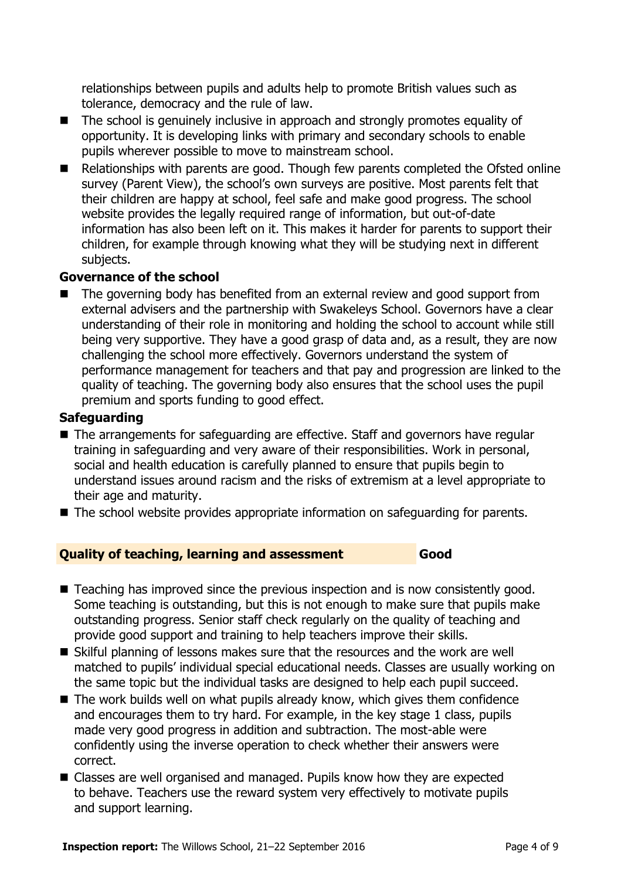relationships between pupils and adults help to promote British values such as tolerance, democracy and the rule of law.

- The school is genuinely inclusive in approach and strongly promotes equality of opportunity. It is developing links with primary and secondary schools to enable pupils wherever possible to move to mainstream school.
- Relationships with parents are good. Though few parents completed the Ofsted online survey (Parent View), the school's own surveys are positive. Most parents felt that their children are happy at school, feel safe and make good progress. The school website provides the legally required range of information, but out-of-date information has also been left on it. This makes it harder for parents to support their children, for example through knowing what they will be studying next in different subjects.

#### **Governance of the school**

 The governing body has benefited from an external review and good support from external advisers and the partnership with Swakeleys School. Governors have a clear understanding of their role in monitoring and holding the school to account while still being very supportive. They have a good grasp of data and, as a result, they are now challenging the school more effectively. Governors understand the system of performance management for teachers and that pay and progression are linked to the quality of teaching. The governing body also ensures that the school uses the pupil premium and sports funding to good effect.

#### **Safeguarding**

- The arrangements for safeguarding are effective. Staff and governors have regular training in safeguarding and very aware of their responsibilities. Work in personal, social and health education is carefully planned to ensure that pupils begin to understand issues around racism and the risks of extremism at a level appropriate to their age and maturity.
- The school website provides appropriate information on safeguarding for parents.

### **Quality of teaching, learning and assessment Good**

- Teaching has improved since the previous inspection and is now consistently good. Some teaching is outstanding, but this is not enough to make sure that pupils make outstanding progress. Senior staff check regularly on the quality of teaching and provide good support and training to help teachers improve their skills.
- Skilful planning of lessons makes sure that the resources and the work are well matched to pupils' individual special educational needs. Classes are usually working on the same topic but the individual tasks are designed to help each pupil succeed.
- $\blacksquare$  The work builds well on what pupils already know, which gives them confidence and encourages them to try hard. For example, in the key stage 1 class, pupils made very good progress in addition and subtraction. The most-able were confidently using the inverse operation to check whether their answers were correct.
- Classes are well organised and managed. Pupils know how they are expected to behave. Teachers use the reward system very effectively to motivate pupils and support learning.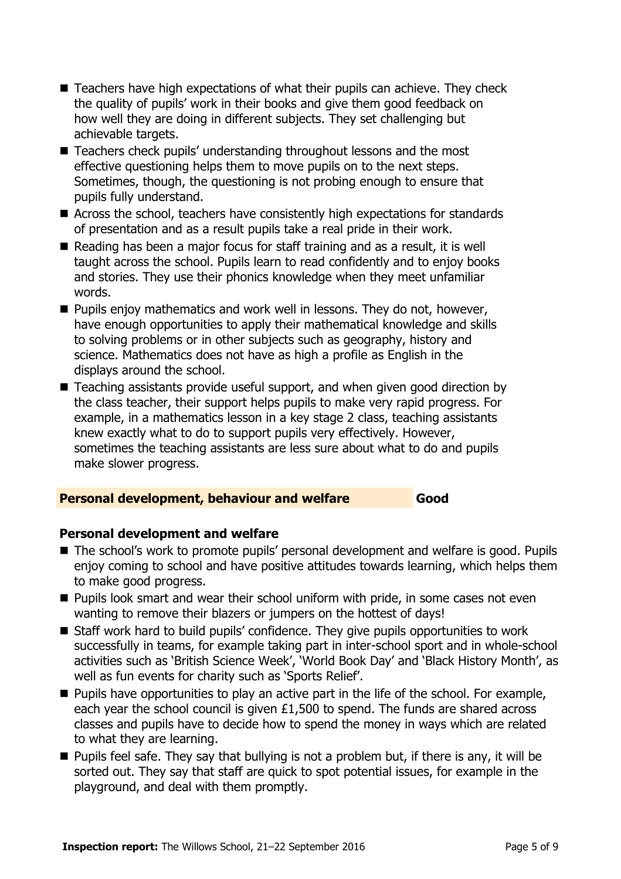- Teachers have high expectations of what their pupils can achieve. They check the quality of pupils' work in their books and give them good feedback on how well they are doing in different subjects. They set challenging but achievable targets.
- Teachers check pupils' understanding throughout lessons and the most effective questioning helps them to move pupils on to the next steps. Sometimes, though, the questioning is not probing enough to ensure that pupils fully understand.
- Across the school, teachers have consistently high expectations for standards of presentation and as a result pupils take a real pride in their work.
- Reading has been a major focus for staff training and as a result, it is well taught across the school. Pupils learn to read confidently and to enjoy books and stories. They use their phonics knowledge when they meet unfamiliar words.
- **Pupils enjoy mathematics and work well in lessons. They do not, however,** have enough opportunities to apply their mathematical knowledge and skills to solving problems or in other subjects such as geography, history and science. Mathematics does not have as high a profile as English in the displays around the school.
- Teaching assistants provide useful support, and when given good direction by the class teacher, their support helps pupils to make very rapid progress. For example, in a mathematics lesson in a key stage 2 class, teaching assistants knew exactly what to do to support pupils very effectively. However, sometimes the teaching assistants are less sure about what to do and pupils make slower progress.

#### **Personal development, behaviour and welfare Good**

### **Personal development and welfare**

- The school's work to promote pupils' personal development and welfare is good. Pupils enjoy coming to school and have positive attitudes towards learning, which helps them to make good progress.
- **Pupils look smart and wear their school uniform with pride, in some cases not even** wanting to remove their blazers or jumpers on the hottest of days!
- Staff work hard to build pupils' confidence. They give pupils opportunities to work successfully in teams, for example taking part in inter-school sport and in whole-school activities such as 'British Science Week', 'World Book Day' and 'Black History Month', as well as fun events for charity such as 'Sports Relief'.
- **Pupils have opportunities to play an active part in the life of the school. For example,** each year the school council is given £1,500 to spend. The funds are shared across classes and pupils have to decide how to spend the money in ways which are related to what they are learning.
- $\blacksquare$  Pupils feel safe. They say that bullying is not a problem but, if there is any, it will be sorted out. They say that staff are quick to spot potential issues, for example in the playground, and deal with them promptly.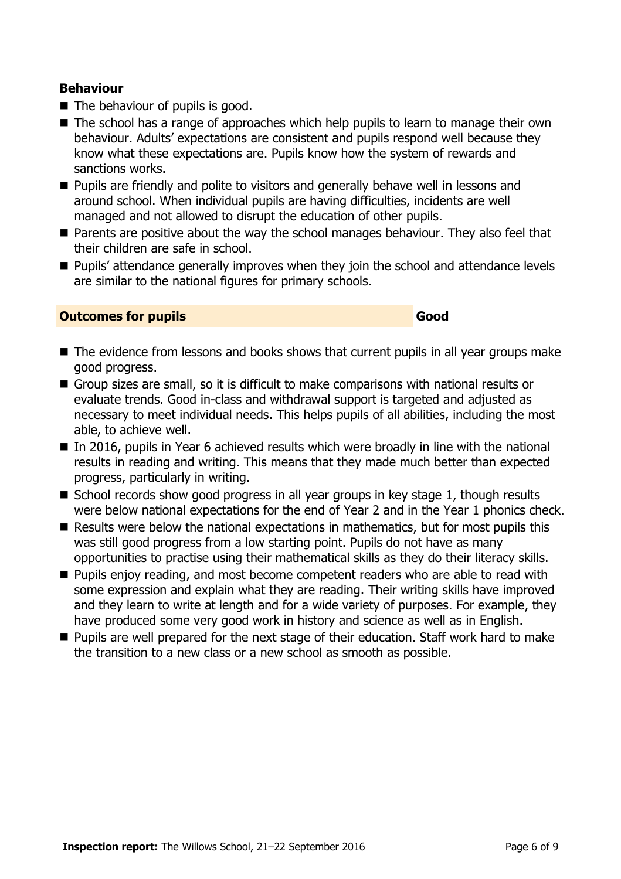### **Behaviour**

- The behaviour of pupils is good.
- The school has a range of approaches which help pupils to learn to manage their own behaviour. Adults' expectations are consistent and pupils respond well because they know what these expectations are. Pupils know how the system of rewards and sanctions works.
- **Pupils are friendly and polite to visitors and generally behave well in lessons and** around school. When individual pupils are having difficulties, incidents are well managed and not allowed to disrupt the education of other pupils.
- Parents are positive about the way the school manages behaviour. They also feel that their children are safe in school.
- **Pupils' attendance generally improves when they join the school and attendance levels** are similar to the national figures for primary schools.

#### **Outcomes for pupils Good Good**

- The evidence from lessons and books shows that current pupils in all year groups make good progress.
- Group sizes are small, so it is difficult to make comparisons with national results or evaluate trends. Good in-class and withdrawal support is targeted and adjusted as necessary to meet individual needs. This helps pupils of all abilities, including the most able, to achieve well.
- $\blacksquare$  In 2016, pupils in Year 6 achieved results which were broadly in line with the national results in reading and writing. This means that they made much better than expected progress, particularly in writing.
- School records show good progress in all year groups in key stage 1, though results were below national expectations for the end of Year 2 and in the Year 1 phonics check.
- Results were below the national expectations in mathematics, but for most pupils this was still good progress from a low starting point. Pupils do not have as many opportunities to practise using their mathematical skills as they do their literacy skills.
- **Pupils enjoy reading, and most become competent readers who are able to read with** some expression and explain what they are reading. Their writing skills have improved and they learn to write at length and for a wide variety of purposes. For example, they have produced some very good work in history and science as well as in English.
- **Pupils are well prepared for the next stage of their education. Staff work hard to make** the transition to a new class or a new school as smooth as possible.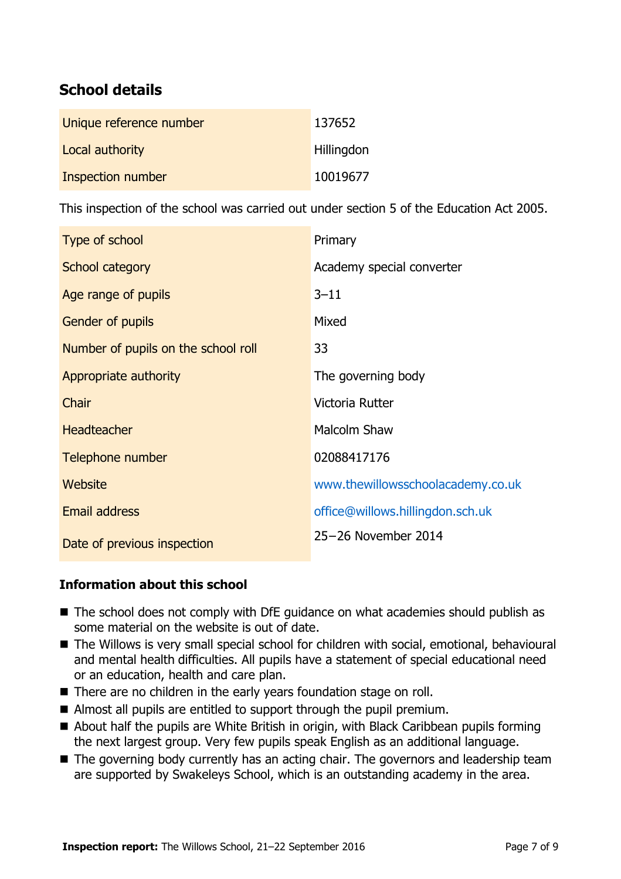# **School details**

| Unique reference number | 137652            |
|-------------------------|-------------------|
| Local authority         | <b>Hillingdon</b> |
| Inspection number       | 10019677          |

This inspection of the school was carried out under section 5 of the Education Act 2005.

| Type of school                      | Primary                           |
|-------------------------------------|-----------------------------------|
| School category                     | Academy special converter         |
| Age range of pupils                 | $3 - 11$                          |
| <b>Gender of pupils</b>             | Mixed                             |
| Number of pupils on the school roll | 33                                |
| Appropriate authority               | The governing body                |
| Chair                               | Victoria Rutter                   |
| <b>Headteacher</b>                  | Malcolm Shaw                      |
| Telephone number                    | 02088417176                       |
| Website                             | www.thewillowsschoolacademy.co.uk |
| <b>Email address</b>                | office@willows.hillingdon.sch.uk  |
| Date of previous inspection         | 25-26 November 2014               |

### **Information about this school**

- The school does not comply with DfE guidance on what academies should publish as some material on the website is out of date.
- The Willows is very small special school for children with social, emotional, behavioural and mental health difficulties. All pupils have a statement of special educational need or an education, health and care plan.
- There are no children in the early years foundation stage on roll.
- Almost all pupils are entitled to support through the pupil premium.
- About half the pupils are White British in origin, with Black Caribbean pupils forming the next largest group. Very few pupils speak English as an additional language.
- The governing body currently has an acting chair. The governors and leadership team are supported by Swakeleys School, which is an outstanding academy in the area.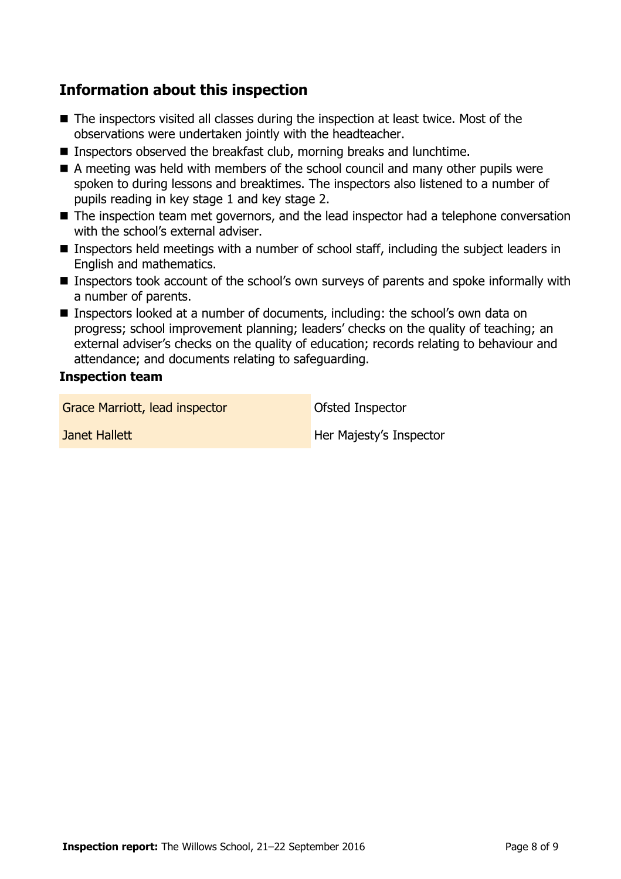# **Information about this inspection**

- The inspectors visited all classes during the inspection at least twice. Most of the observations were undertaken jointly with the headteacher.
- **Inspectors observed the breakfast club, morning breaks and lunchtime.**
- $\blacksquare$  A meeting was held with members of the school council and many other pupils were spoken to during lessons and breaktimes. The inspectors also listened to a number of pupils reading in key stage 1 and key stage 2.
- The inspection team met governors, and the lead inspector had a telephone conversation with the school's external adviser.
- Inspectors held meetings with a number of school staff, including the subject leaders in English and mathematics.
- Inspectors took account of the school's own surveys of parents and spoke informally with a number of parents.
- Inspectors looked at a number of documents, including: the school's own data on progress; school improvement planning; leaders' checks on the quality of teaching; an external adviser's checks on the quality of education; records relating to behaviour and attendance; and documents relating to safeguarding.

#### **Inspection team**

Grace Marriott, lead inspector **Calculate Constanting Constant** Ofsted Inspector

**Janet Hallett Her Majesty's Inspector**